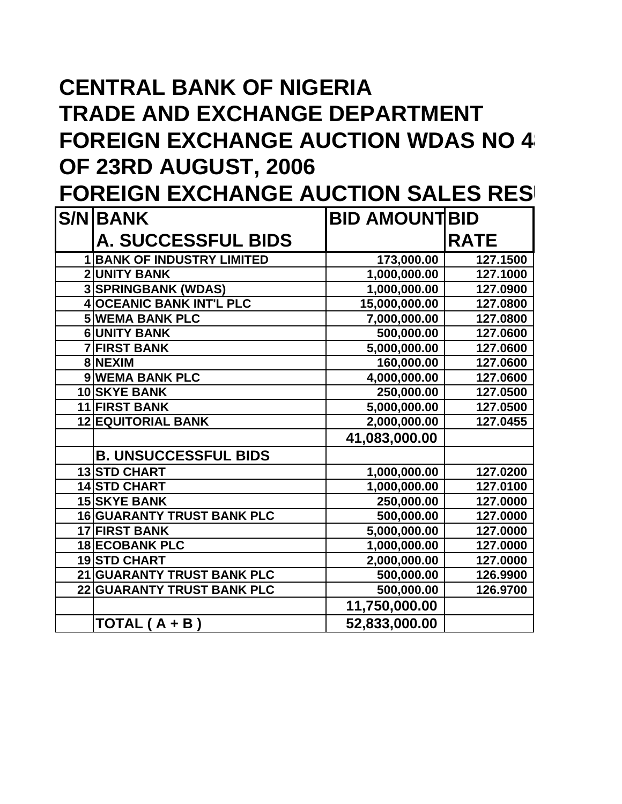# **CENTRAL BANK OF NIGERIA TRADE AND EXCHANGE DEPARTMENT FOREIGN EXCHANGE AUCTION WDAS NO 48 OF 23RD AUGUST, 2006**

**FOREIGN EXCHANGE AUCTION SALES RES** 

| <b>S/NIBANK</b>                   | <b>BID AMOUNTIBID</b> |             |
|-----------------------------------|-----------------------|-------------|
| <b>A. SUCCESSFUL BIDS</b>         |                       | <b>RATE</b> |
| <b>BANK OF INDUSTRY LIMITED</b>   | 173,000.00            | 127.1500    |
| <b>2 UNITY BANK</b>               | 1,000,000.00          | 127.1000    |
| <b>3 SPRINGBANK (WDAS)</b>        | 1,000,000.00          | 127.0900    |
| <b>4 OCEANIC BANK INT'L PLC</b>   | 15,000,000.00         | 127.0800    |
| <b>5 WEMA BANK PLC</b>            | 7,000,000.00          | 127.0800    |
| <b>6 UNITY BANK</b>               | 500,000.00            | 127.0600    |
| <b>7 FIRST BANK</b>               | 5,000,000.00          | 127.0600    |
| 8 NEXIM                           | 160,000.00            | 127.0600    |
| 9 WEMA BANK PLC                   | 4,000,000.00          | 127.0600    |
| 10 SKYE BANK                      | 250,000.00            | 127.0500    |
| 11 FIRST BANK                     | 5,000,000.00          | 127.0500    |
| <b>12 EQUITORIAL BANK</b>         | 2,000,000.00          | 127.0455    |
|                                   | 41,083,000.00         |             |
| <b>B. UNSUCCESSFUL BIDS</b>       |                       |             |
| <b>13 STD CHART</b>               | 1,000,000.00          | 127.0200    |
| <b>14 STD CHART</b>               | 1,000,000.00          | 127.0100    |
| <b>15 SKYE BANK</b>               | 250,000.00            | 127.0000    |
| <b>16 GUARANTY TRUST BANK PLC</b> | 500,000.00            | 127.0000    |
| 17 FIRST BANK                     | 5,000,000.00          | 127.0000    |
| <b>18 ECOBANK PLC</b>             | 1,000,000.00          | 127.0000    |
| 19STD CHART                       | 2,000,000.00          | 127.0000    |
| 21 GUARANTY TRUST BANK PLC        | 500,000.00            | 126.9900    |
| <b>22 GUARANTY TRUST BANK PLC</b> | 500,000.00            | 126.9700    |
|                                   | 11,750,000.00         |             |
| $TOTAL(A + B)$                    | 52,833,000.00         |             |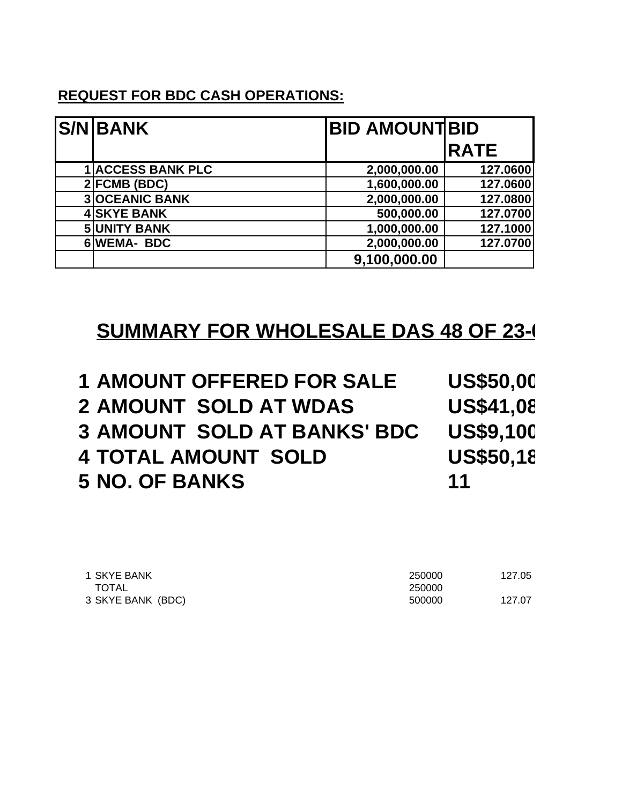### **REQUEST FOR BDC CASH OPERATIONS:**

| <b>S/NBANK</b>           | <b>BID AMOUNTBID</b> |             |
|--------------------------|----------------------|-------------|
|                          |                      | <b>RATE</b> |
| <b>1 ACCESS BANK PLC</b> | 2,000,000.00         | 127.0600    |
| $2$ FCMB (BDC)           | 1,600,000.00         | 127.0600    |
| <b>3OCEANIC BANK</b>     | 2,000,000.00         | 127.0800    |
| <b>4 SKYE BANK</b>       | 500,000.00           | 127.0700    |
| <b>5 UNITY BANK</b>      | 1,000,000.00         | 127.1000    |
| 6WEMA-BDC                | 2,000,000.00         | 127.0700    |
|                          | 9,100,000.00         |             |

### **SUMMARY FOR WHOLESALE DAS 48 OF 23-0**

| <b>1 AMOUNT OFFERED FOR SALE</b>   | <b>US\$50,00</b> |
|------------------------------------|------------------|
| <b>2 AMOUNT SOLD AT WDAS</b>       | <b>US\$41,08</b> |
| <b>3 AMOUNT SOLD AT BANKS' BDC</b> | <b>US\$9,100</b> |
| <b>4 TOTAL AMOUNT SOLD</b>         | <b>US\$50,18</b> |
| <b>5 NO. OF BANKS</b>              | 11               |

| 1 SKYE BANK       | 250000 | 127.05 |
|-------------------|--------|--------|
| TOTAL             | 250000 |        |
| 3 SKYE BANK (BDC) | 500000 | 127.07 |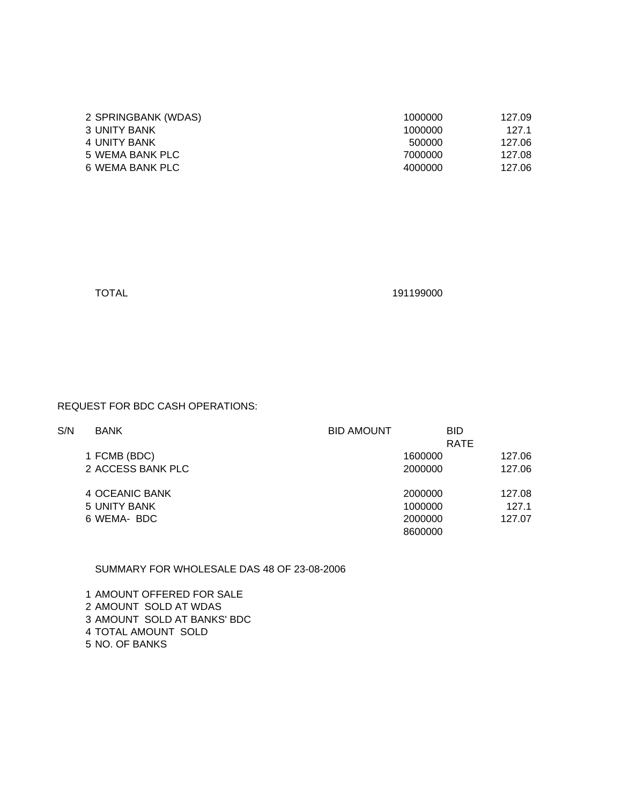| 2 SPRINGBANK (WDAS) | 1000000 | 127.09 |
|---------------------|---------|--------|
| 3 UNITY BANK        | 1000000 | 127.1  |
| 4 UNITY BANK        | 500000  | 127.06 |
| 5 WEMA BANK PLC     | 7000000 | 127.08 |
| 6 WEMA BANK PLC     | 4000000 | 127.06 |
|                     |         |        |

| ×<br>۰, |  |
|---------|--|
|---------|--|

#### REQUEST FOR BDC CASH OPERATIONS:

| S/N | <b>BANK</b>       | <b>BID AMOUNT</b> | <b>BID</b>  |        |
|-----|-------------------|-------------------|-------------|--------|
|     |                   |                   | <b>RATE</b> |        |
|     | 1 FCMB (BDC)      |                   | 1600000     | 127.06 |
|     | 2 ACCESS BANK PLC |                   | 2000000     | 127.06 |
|     | 4 OCEANIC BANK    |                   | 2000000     | 127.08 |
|     | 5 UNITY BANK      |                   | 1000000     | 127.1  |
|     | 6 WEMA- BDC       |                   | 2000000     | 127.07 |
|     |                   |                   | 8600000     |        |
|     |                   |                   |             |        |

#### SUMMARY FOR WHOLESALE DAS 48 OF 23-08-2006

 AMOUNT OFFERED FOR SALE AMOUNT SOLD AT WDAS AMOUNT SOLD AT BANKS' BDC TOTAL AMOUNT SOLD NO. OF BANKS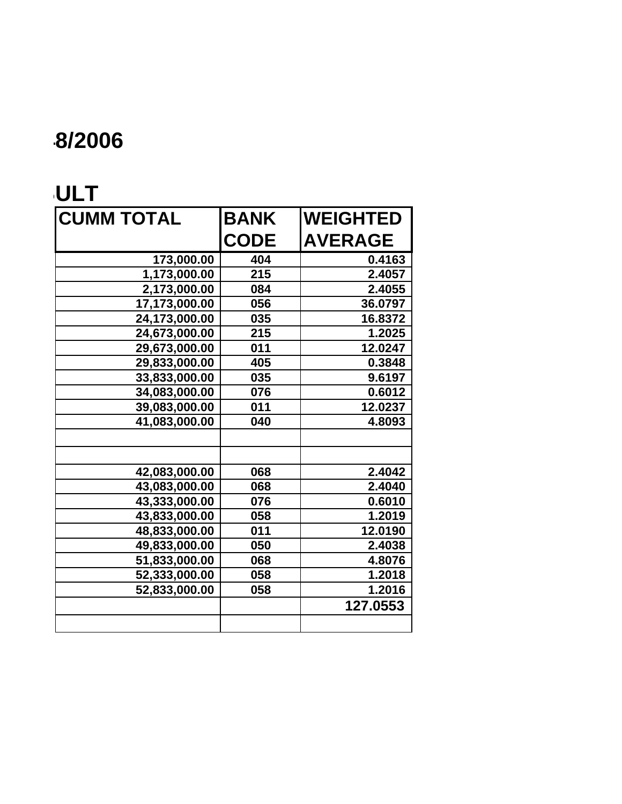# $8/2006$

### **FOREIGN EXCHANGE AND**

| <b>CUMM TOTAL</b> | <b>BANK</b> | <b>WEIGHTED</b> |
|-------------------|-------------|-----------------|
|                   | <b>CODE</b> | <b>AVERAGE</b>  |
| 173,000.00        | 404         | 0.4163          |
| 1,173,000.00      | 215         | 2.4057          |
| 2,173,000.00      | 084         | 2.4055          |
| 17,173,000.00     | 056         | 36.0797         |
| 24,173,000.00     | 035         | 16.8372         |
| 24,673,000.00     | 215         | 1.2025          |
| 29,673,000.00     | 011         | 12.0247         |
| 29,833,000.00     | 405         | 0.3848          |
| 33,833,000.00     | 035         | 9.6197          |
| 34,083,000.00     | 076         | 0.6012          |
| 39,083,000.00     | 011         | 12.0237         |
| 41,083,000.00     | 040         | 4.8093          |
|                   |             |                 |
|                   |             |                 |
| 42,083,000.00     | 068         | 2.4042          |
| 43,083,000.00     | 068         | 2.4040          |
| 43,333,000.00     | 076         | 0.6010          |
| 43,833,000.00     | 058         | 1.2019          |
| 48,833,000.00     | 011         | 12.0190         |
| 49,833,000.00     | 050         | 2.4038          |
| 51,833,000.00     | 068         | 4.8076          |
| 52,333,000.00     | 058         | 1.2018          |
| 52,833,000.00     | 058         | 1.2016          |
|                   |             | 127.0553        |
|                   |             |                 |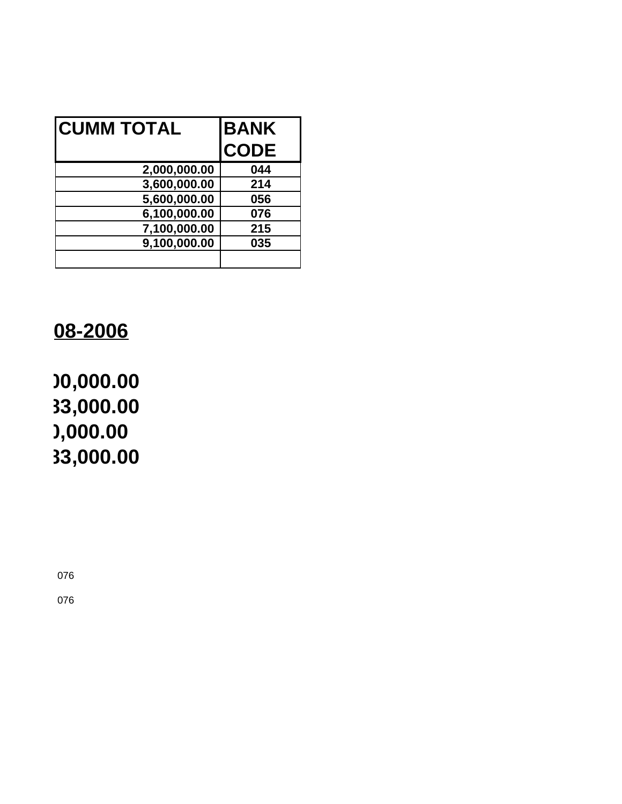| <b>CUMM TOTAL</b> | <b>BANK</b> |
|-------------------|-------------|
|                   | <b>CODE</b> |
| 2,000,000.00      | 044         |
| 3,600,000.00      | 214         |
| 5,600,000.00      | 056         |
| 6,100,000.00      | 076         |
| 7,100,000.00      | 215         |
| 9,100,000.00      | 035         |
|                   |             |

## 08-2006

# **US\$50,000,000.00 US\$41,083,000.00 US\$9,100,000.00 US\$50,183,000.00**

076

076